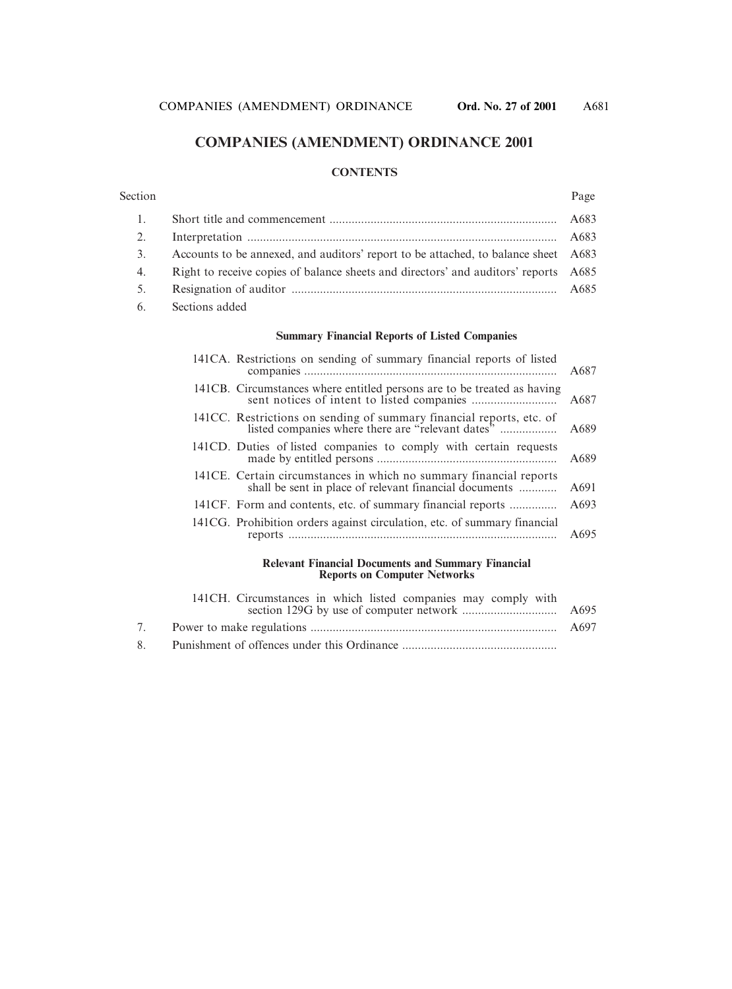## **COMPANIES (AMENDMENT) ORDINANCE 2001**

#### **CONTENTS**

#### Section Page

| 3. Accounts to be annexed, and auditors' report to be attached, to balance sheet A683  |  |
|----------------------------------------------------------------------------------------|--|
| 4. Right to receive copies of balance sheets and directors' and auditors' reports A685 |  |
|                                                                                        |  |
|                                                                                        |  |

6. Sections added

#### **Summary Financial Reports of Listed Companies**

| 141CA. Restrictions on sending of summary financial reports of listed                                                        | A687 |
|------------------------------------------------------------------------------------------------------------------------------|------|
| 141CB. Circumstances where entitled persons are to be treated as having                                                      | A687 |
| 141CC. Restrictions on sending of summary financial reports, etc. of<br>listed companies where there are "relevant dates"    | A689 |
| 141CD. Duties of listed companies to comply with certain requests                                                            | A689 |
| 141CE. Certain circumstances in which no summary financial reports<br>shall be sent in place of relevant financial documents | A691 |
| 141CF. Form and contents, etc. of summary financial reports                                                                  | A693 |
| 141CG. Prohibition orders against circulation, etc. of summary financial                                                     | A695 |

#### **Relevant Financial Documents and Summary Financial Reports on Computer Networks**

| 141CH. Circumstances in which listed companies may comply with |  |
|----------------------------------------------------------------|--|
|                                                                |  |
|                                                                |  |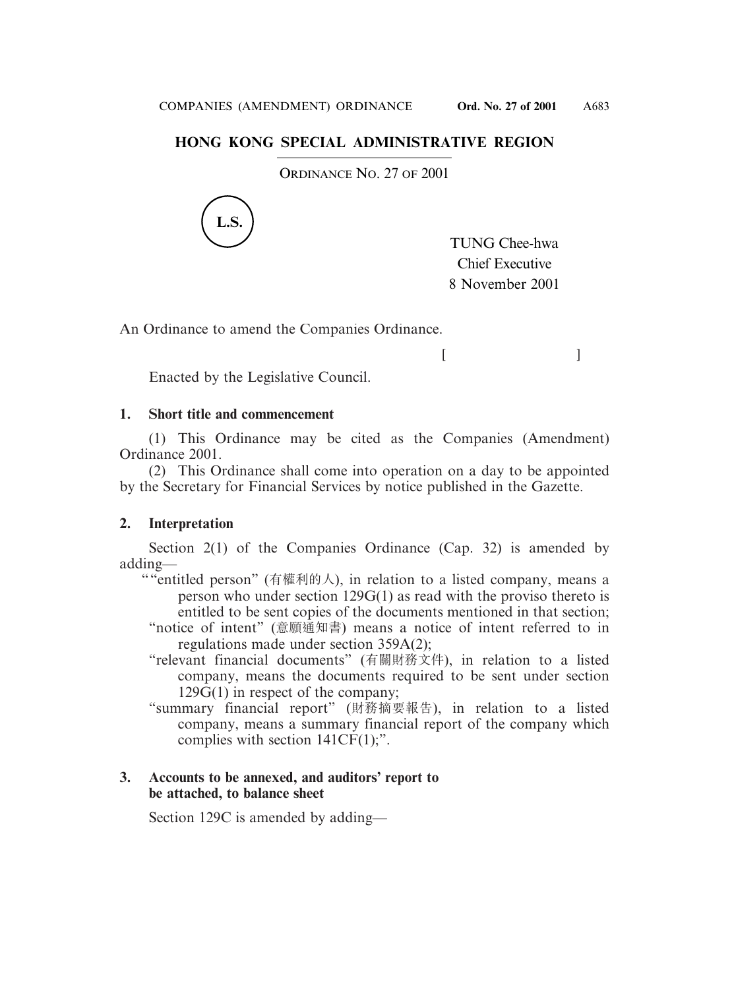## **HONG KONG SPECIAL ADMINISTRATIVE REGION**

ORDINANCE NO. 27 OF 2001



TUNG Chee-hwa Chief Executive 8 November 2001

 $[$ 

An Ordinance to amend the Companies Ordinance.

Enacted by the Legislative Council.

#### **1. Short title and commencement**

(1) This Ordinance may be cited as the Companies (Amendment) Ordinance 2001.

(2) This Ordinance shall come into operation on a day to be appointed by the Secretary for Financial Services by notice published in the Gazette.

## **2. Interpretation**

Section 2(1) of the Companies Ordinance (Cap. 32) is amended by adding—

- ""entitled person" (有權利的人), in relation to a listed company, means a person who under section 129G(1) as read with the proviso thereto is entitled to be sent copies of the documents mentioned in that section;
	- "notice of intent" (意願通知書) means a notice of intent referred to in regulations made under section 359A(2);
	- "relevant financial documents" (有關財務文件), in relation to a listed company, means the documents required to be sent under section  $129\hat{G}(1)$  in respect of the company;
	- "summary financial report" (財務摘要報告), in relation to a listed company, means a summary financial report of the company which complies with section  $141CF(1)$ ;".

#### **3. Accounts to be annexed, and auditors' report to be attached, to balance sheet**

Section 129C is amended by adding—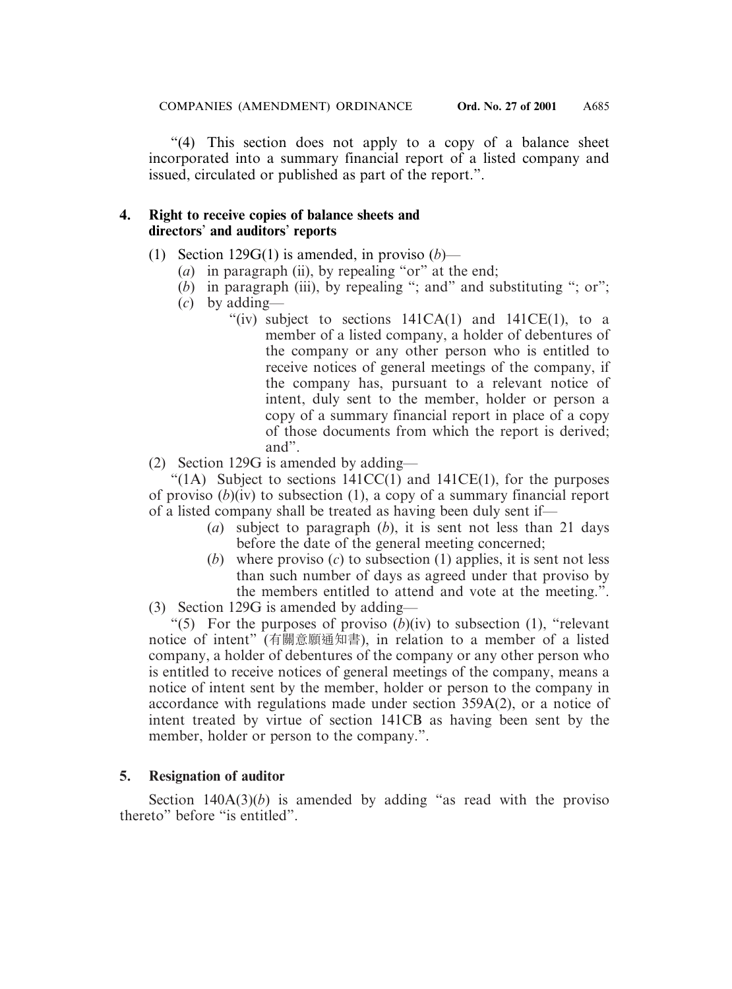"(4) This section does not apply to a copy of a balance sheet incorporated into a summary financial report of a listed company and issued, circulated or published as part of the report.".

#### **4. Right to receive copies of balance sheets and directors**' **and auditors**' **reports**

- (1) Section 129G(1) is amended, in proviso  $(b)$ 
	- (*a*) in paragraph (ii), by repealing "or" at the end;
	- (*b*) in paragraph (iii), by repealing "; and" and substituting "; or";
	- (*c*) by adding—
		- "(iv) subject to sections  $141CA(1)$  and  $141CE(1)$ , to a member of a listed company, a holder of debentures of the company or any other person who is entitled to receive notices of general meetings of the company, if the company has, pursuant to a relevant notice of intent, duly sent to the member, holder or person a copy of a summary financial report in place of a copy of those documents from which the report is derived; and".
- (2) Section 129G is amended by adding—

"(1A) Subject to sections  $141CC(1)$  and  $141CE(1)$ , for the purposes of proviso (*b*)(iv) to subsection (1), a copy of a summary financial report of a listed company shall be treated as having been duly sent if—

- (*a*) subject to paragraph (*b*), it is sent not less than 21 days before the date of the general meeting concerned;
- (*b*) where proviso (*c*) to subsection (1) applies, it is sent not less than such number of days as agreed under that proviso by the members entitled to attend and vote at the meeting.".
- (3) Section 129G is amended by adding—

"(5) For the purposes of proviso  $(b)(iv)$  to subsection (1), "relevant" notice of intent" (有關意願通知書), in relation to a member of a listed company, a holder of debentures of the company or any other person who is entitled to receive notices of general meetings of the company, means a notice of intent sent by the member, holder or person to the company in accordance with regulations made under section 359A(2), or a notice of intent treated by virtue of section 141CB as having been sent by the member, holder or person to the company.".

## **5. Resignation of auditor**

Section  $140A(3)(b)$  is amended by adding "as read with the proviso" thereto" before "is entitled".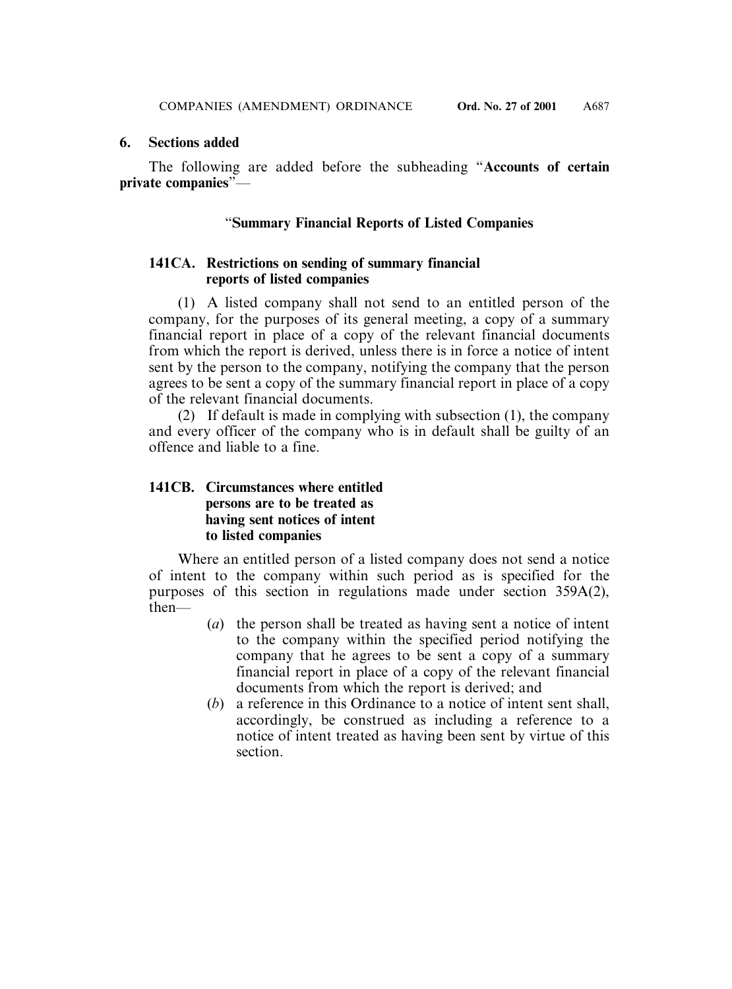#### **6. Sections added**

The following are added before the subheading "**Accounts of certain private companies**"—

## "**Summary Financial Reports of Listed Companies**

#### **141CA. Restrictions on sending of summary financial reports of listed companies**

(1) A listed company shall not send to an entitled person of the company, for the purposes of its general meeting, a copy of a summary financial report in place of a copy of the relevant financial documents from which the report is derived, unless there is in force a notice of intent sent by the person to the company, notifying the company that the person agrees to be sent a copy of the summary financial report in place of a copy of the relevant financial documents.

(2) If default is made in complying with subsection (1), the company and every officer of the company who is in default shall be guilty of an offence and liable to a fine.

#### **141CB. Circumstances where entitled persons are to be treated as having sent notices of intent to listed companies**

Where an entitled person of a listed company does not send a notice of intent to the company within such period as is specified for the purposes of this section in regulations made under section 359A(2), then—

- (*a*) the person shall be treated as having sent a notice of intent to the company within the specified period notifying the company that he agrees to be sent a copy of a summary financial report in place of a copy of the relevant financial documents from which the report is derived; and
- (*b*) a reference in this Ordinance to a notice of intent sent shall, accordingly, be construed as including a reference to a notice of intent treated as having been sent by virtue of this section.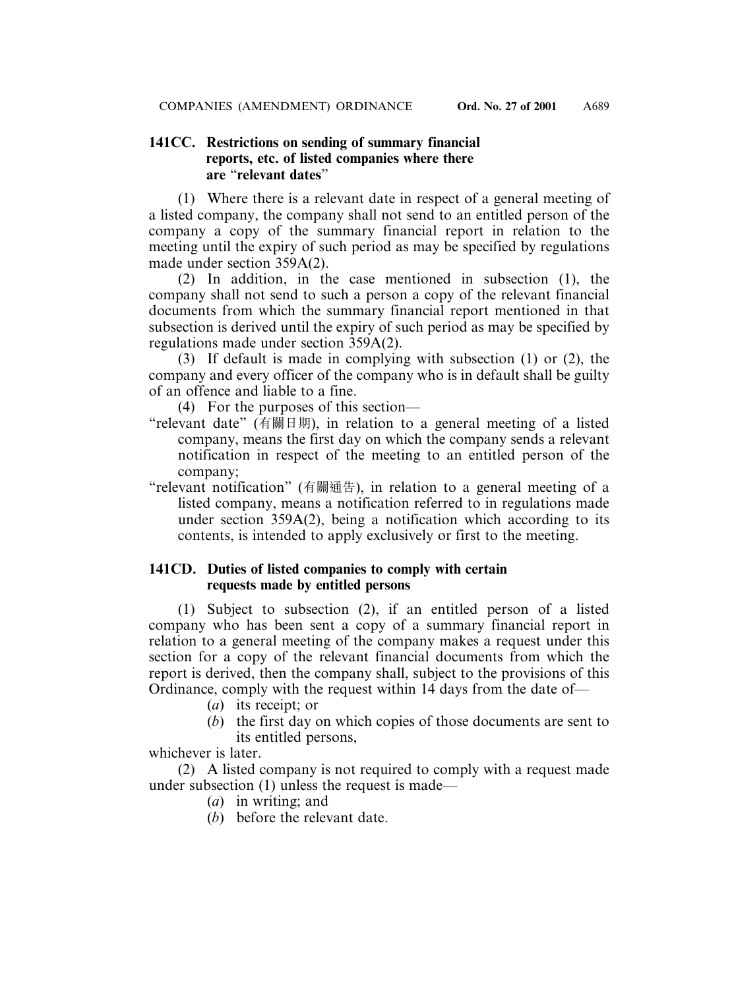#### **141CC. Restrictions on sending of summary financial reports, etc. of listed companies where there are** "**relevant dates**"

(1) Where there is a relevant date in respect of a general meeting of a listed company, the company shall not send to an entitled person of the company a copy of the summary financial report in relation to the meeting until the expiry of such period as may be specified by regulations made under section 359A(2).

(2) In addition, in the case mentioned in subsection (1), the company shall not send to such a person a copy of the relevant financial documents from which the summary financial report mentioned in that subsection is derived until the expiry of such period as may be specified by regulations made under section 359A(2).

(3) If default is made in complying with subsection (1) or (2), the company and every officer of the company who is in default shall be guilty of an offence and liable to a fine.

(4) For the purposes of this section—

"relevant date" (有關日期), in relation to a general meeting of a listed company, means the first day on which the company sends a relevant notification in respect of the meeting to an entitled person of the company;

"relevant notification" (有關通告), in relation to a general meeting of a listed company, means a notification referred to in regulations made under section 359A(2), being a notification which according to its contents, is intended to apply exclusively or first to the meeting.

## **141CD. Duties of listed companies to comply with certain requests made by entitled persons**

(1) Subject to subsection (2), if an entitled person of a listed company who has been sent a copy of a summary financial report in relation to a general meeting of the company makes a request under this section for a copy of the relevant financial documents from which the report is derived, then the company shall, subject to the provisions of this Ordinance, comply with the request within 14 days from the date of—

- (*a*) its receipt; or
- (*b*) the first day on which copies of those documents are sent to its entitled persons,

whichever is later.

(2) A listed company is not required to comply with a request made under subsection (1) unless the request is made—

- (*a*) in writing; and
- (*b*) before the relevant date.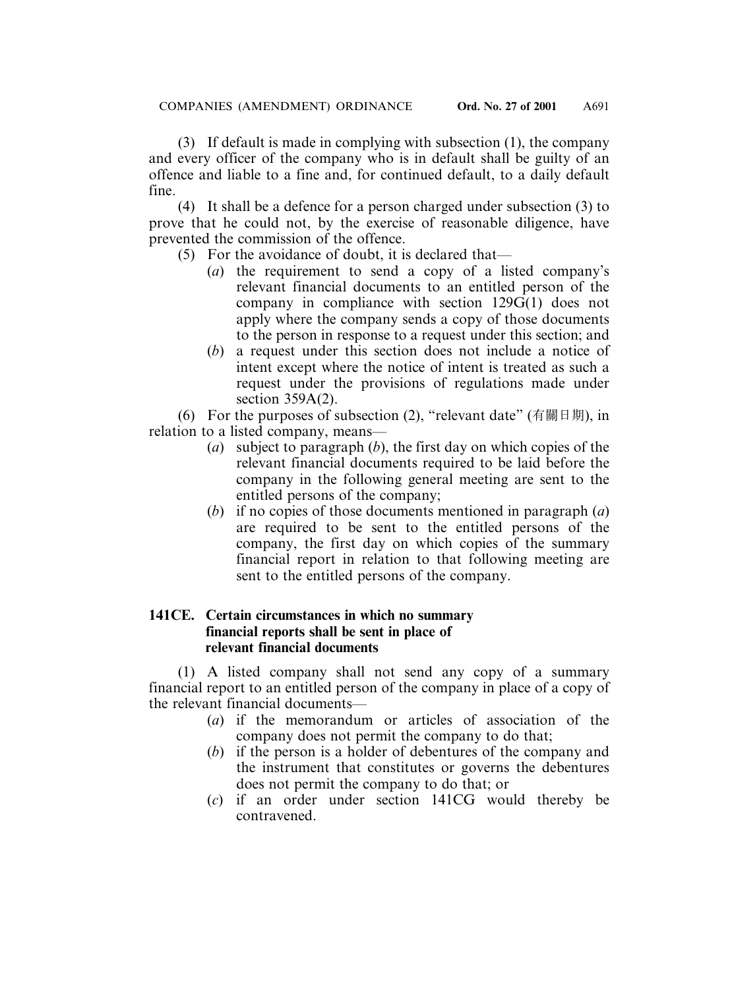(3) If default is made in complying with subsection (1), the company and every officer of the company who is in default shall be guilty of an offence and liable to a fine and, for continued default, to a daily default fine.

(4) It shall be a defence for a person charged under subsection (3) to prove that he could not, by the exercise of reasonable diligence, have prevented the commission of the offence.

- (5) For the avoidance of doubt, it is declared that—
	- (*a*) the requirement to send a copy of a listed company's relevant financial documents to an entitled person of the company in compliance with section 129G(1) does not apply where the company sends a copy of those documents to the person in response to a request under this section; and
	- (*b*) a request under this section does not include a notice of intent except where the notice of intent is treated as such a request under the provisions of regulations made under section  $359A(2)$ .

(6) For the purposes of subsection  $(2)$ , "relevant date" (有關日期), in relation to a listed company, means—

- (*a*) subject to paragraph (*b*), the first day on which copies of the relevant financial documents required to be laid before the company in the following general meeting are sent to the entitled persons of the company;
- (*b*) if no copies of those documents mentioned in paragraph (*a*) are required to be sent to the entitled persons of the company, the first day on which copies of the summary financial report in relation to that following meeting are sent to the entitled persons of the company.

#### **141CE. Certain circumstances in which no summary financial reports shall be sent in place of relevant financial documents**

(1) A listed company shall not send any copy of a summary financial report to an entitled person of the company in place of a copy of the relevant financial documents—

- (*a*) if the memorandum or articles of association of the company does not permit the company to do that;
- (*b*) if the person is a holder of debentures of the company and the instrument that constitutes or governs the debentures does not permit the company to do that; or
- (*c*) if an order under section 141CG would thereby be contravened.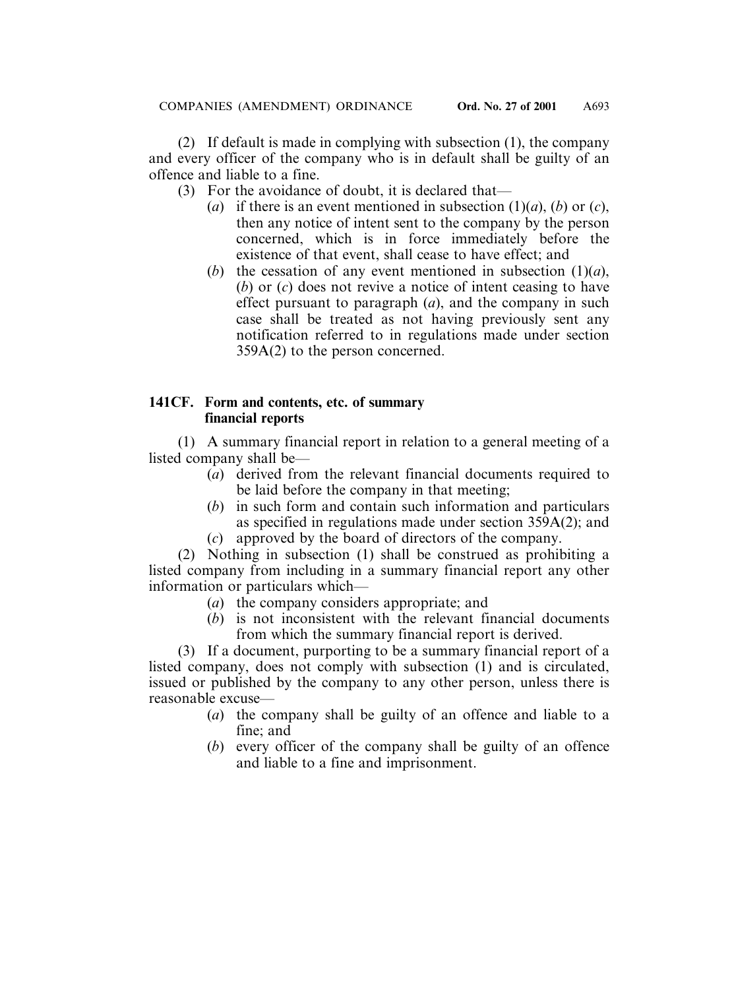(2) If default is made in complying with subsection (1), the company and every officer of the company who is in default shall be guilty of an offence and liable to a fine.

- (3) For the avoidance of doubt, it is declared that—
	- (*a*) if there is an event mentioned in subsection  $(1)(a)$ ,  $(b)$  or  $(c)$ , then any notice of intent sent to the company by the person concerned, which is in force immediately before the existence of that event, shall cease to have effect; and
	- (*b*) the cessation of any event mentioned in subsection  $(1)(a)$ , (*b*) or (*c*) does not revive a notice of intent ceasing to have effect pursuant to paragraph (*a*), and the company in such case shall be treated as not having previously sent any notification referred to in regulations made under section 359A(2) to the person concerned.

## **141CF. Form and contents, etc. of summary financial reports**

(1) A summary financial report in relation to a general meeting of a listed company shall be—

- (*a*) derived from the relevant financial documents required to be laid before the company in that meeting;
- (*b*) in such form and contain such information and particulars as specified in regulations made under section 359A(2); and
- (*c*) approved by the board of directors of the company.

(2) Nothing in subsection (1) shall be construed as prohibiting a listed company from including in a summary financial report any other information or particulars which—

- (*a*) the company considers appropriate; and
- (*b*) is not inconsistent with the relevant financial documents from which the summary financial report is derived.

(3) If a document, purporting to be a summary financial report of a listed company, does not comply with subsection (1) and is circulated, issued or published by the company to any other person, unless there is reasonable excuse—

- (*a*) the company shall be guilty of an offence and liable to a fine; and
- (*b*) every officer of the company shall be guilty of an offence and liable to a fine and imprisonment.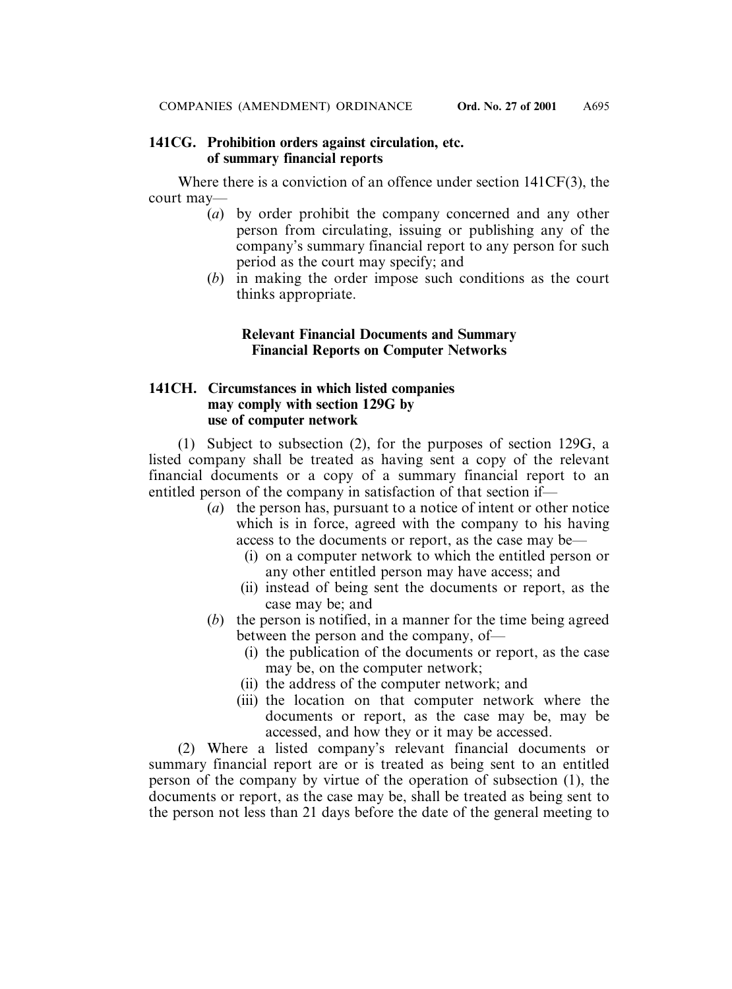#### **141CG. Prohibition orders against circulation, etc. of summary financial reports**

Where there is a conviction of an offence under section 141CF(3), the court may—

- (*a*) by order prohibit the company concerned and any other person from circulating, issuing or publishing any of the company's summary financial report to any person for such period as the court may specify; and
- (*b*) in making the order impose such conditions as the court thinks appropriate.

## **Relevant Financial Documents and Summary Financial Reports on Computer Networks**

## **141CH. Circumstances in which listed companies may comply with section 129G by use of computer network**

(1) Subject to subsection (2), for the purposes of section 129G, a listed company shall be treated as having sent a copy of the relevant financial documents or a copy of a summary financial report to an entitled person of the company in satisfaction of that section if—

- (*a*) the person has, pursuant to a notice of intent or other notice which is in force, agreed with the company to his having access to the documents or report, as the case may be—
	- (i) on a computer network to which the entitled person or any other entitled person may have access; and
	- (ii) instead of being sent the documents or report, as the case may be; and
- (*b*) the person is notified, in a manner for the time being agreed between the person and the company, of—
	- (i) the publication of the documents or report, as the case may be, on the computer network;
	- (ii) the address of the computer network; and
	- (iii) the location on that computer network where the documents or report, as the case may be, may be accessed, and how they or it may be accessed.

(2) Where a listed company's relevant financial documents or summary financial report are or is treated as being sent to an entitled person of the company by virtue of the operation of subsection (1), the documents or report, as the case may be, shall be treated as being sent to the person not less than 21 days before the date of the general meeting to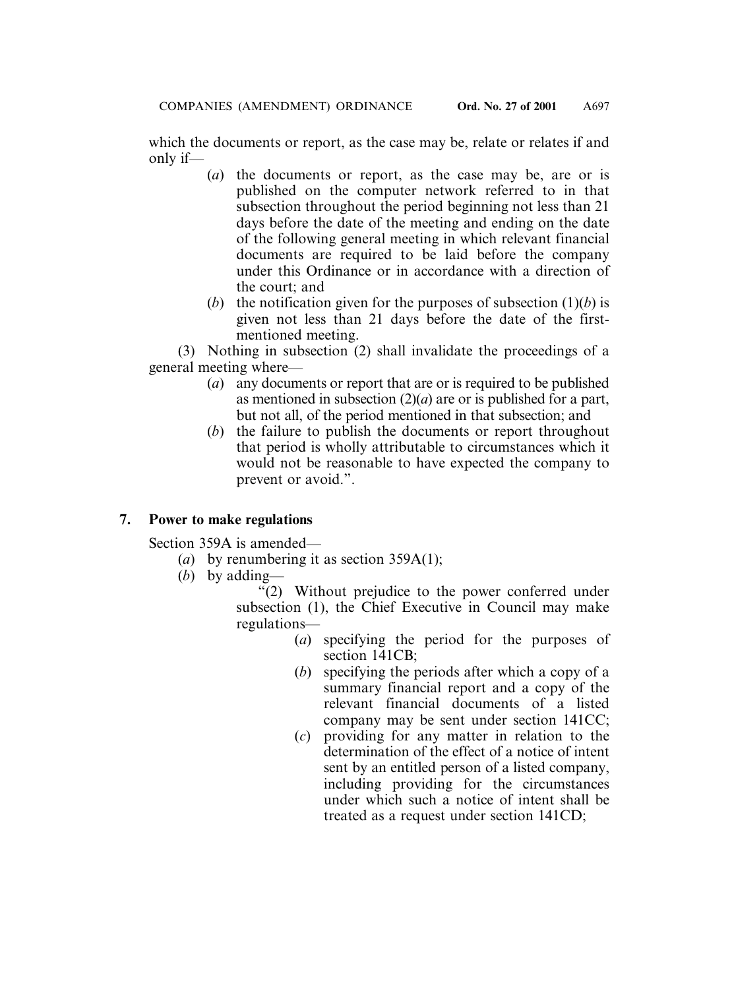which the documents or report, as the case may be, relate or relates if and only if—

- (*a*) the documents or report, as the case may be, are or is published on the computer network referred to in that subsection throughout the period beginning not less than 21 days before the date of the meeting and ending on the date of the following general meeting in which relevant financial documents are required to be laid before the company under this Ordinance or in accordance with a direction of the court; and
- (*b*) the notification given for the purposes of subsection  $(1)(b)$  is given not less than 21 days before the date of the firstmentioned meeting.

(3) Nothing in subsection (2) shall invalidate the proceedings of a general meeting where—

- (*a*) any documents or report that are or is required to be published as mentioned in subsection (2)(*a*) are or is published for a part, but not all, of the period mentioned in that subsection; and
- (*b*) the failure to publish the documents or report throughout that period is wholly attributable to circumstances which it would not be reasonable to have expected the company to prevent or avoid.".

## **7. Power to make regulations**

Section 359A is amended—

- (*a*) by renumbering it as section 359A(1);
- (*b*) by adding—

"(2) Without prejudice to the power conferred under subsection (1), the Chief Executive in Council may make regulations—

- (*a*) specifying the period for the purposes of section 141CB:
- (*b*) specifying the periods after which a copy of a summary financial report and a copy of the relevant financial documents of a listed company may be sent under section 141CC;
- (*c*) providing for any matter in relation to the determination of the effect of a notice of intent sent by an entitled person of a listed company, including providing for the circumstances under which such a notice of intent shall be treated as a request under section 141CD;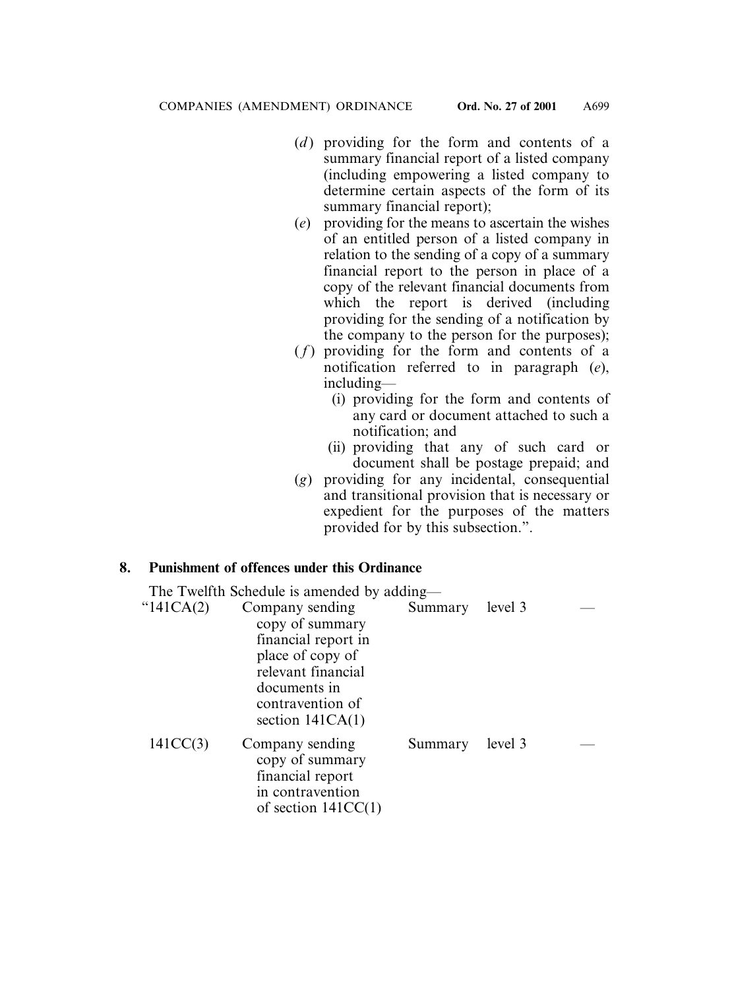- (*d*) providing for the form and contents of a summary financial report of a listed company (including empowering a listed company to determine certain aspects of the form of its summary financial report);
- (*e*) providing for the means to ascertain the wishes of an entitled person of a listed company in relation to the sending of a copy of a summary financial report to the person in place of a copy of the relevant financial documents from which the report is derived (including providing for the sending of a notification by the company to the person for the purposes);
- $(f)$  providing for the form and contents of a notification referred to in paragraph (*e*), including—
	- (i) providing for the form and contents of any card or document attached to such a notification; and
	- (ii) providing that any of such card or document shall be postage prepaid; and
- (*g*) providing for any incidental, consequential and transitional provision that is necessary or expedient for the purposes of the matters provided for by this subsection.".

# **8. Punishment of offences under this Ordinance**

|              | The Twelfth Schedule is amended by adding—                                                          |         |         |  |
|--------------|-----------------------------------------------------------------------------------------------------|---------|---------|--|
| " $141CA(2)$ | Company sending                                                                                     | Summary | level 3 |  |
|              | copy of summary                                                                                     |         |         |  |
|              | financial report in                                                                                 |         |         |  |
|              | place of copy of                                                                                    |         |         |  |
|              | relevant financial                                                                                  |         |         |  |
|              | documents in                                                                                        |         |         |  |
|              | contravention of                                                                                    |         |         |  |
|              | section $141CA(1)$                                                                                  |         |         |  |
| 141CC(3)     | Company sending<br>copy of summary<br>financial report<br>in contravention<br>of section $141CC(1)$ | Summary | level 3 |  |